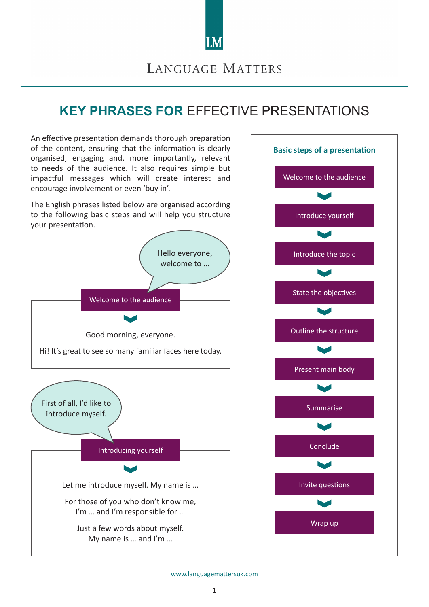

## LANGUAGE MATTERS

# **KEY PHRASES FOR** EFFECTIVE PRESENTATIONS

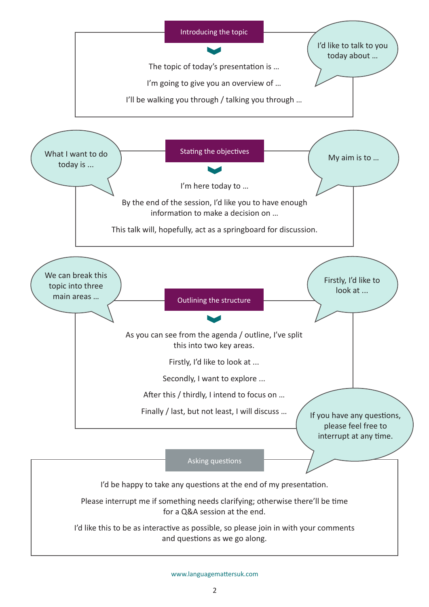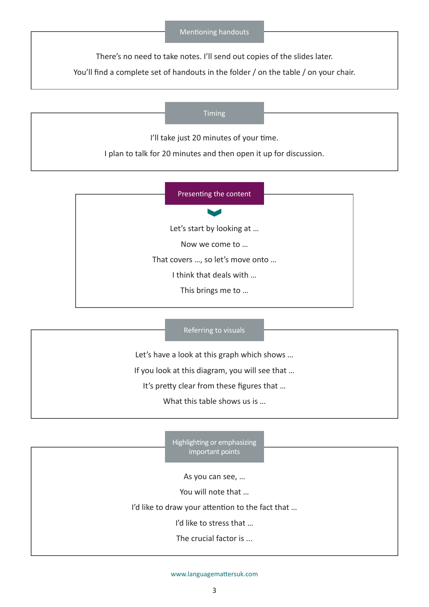#### Mentioning handouts

There's no need to take notes. I'll send out copies of the slides later.

You'll find a complete set of handouts in the folder / on the table / on your chair.

#### Timing

I'll take just 20 minutes of your time.

I plan to talk for 20 minutes and then open it up for discussion.

|                                  | Presenting the content    |
|----------------------------------|---------------------------|
|                                  |                           |
|                                  | Let's start by looking at |
|                                  | Now we come to            |
| That covers , so let's move onto |                           |
| I think that deals with          |                           |
| This brings me to                |                           |
|                                  |                           |

#### Referring to visuals

Let's have a look at this graph which shows …

If you look at this diagram, you will see that …

It's pretty clear from these figures that …

What this table shows us is ...

Highlighting or emphasizing important points

As you can see, …

You will note that …

I'd like to draw your attention to the fact that …

I'd like to stress that …

The crucial factor is ...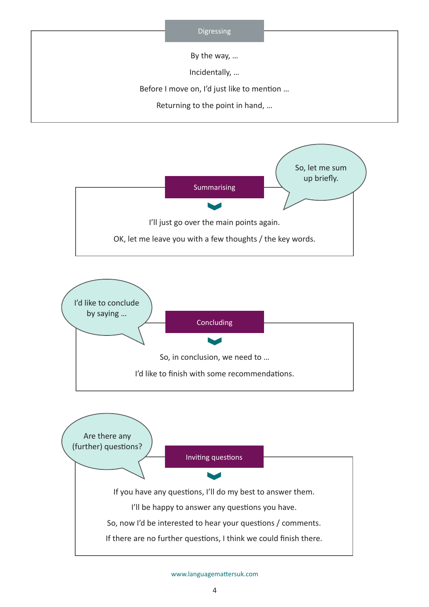





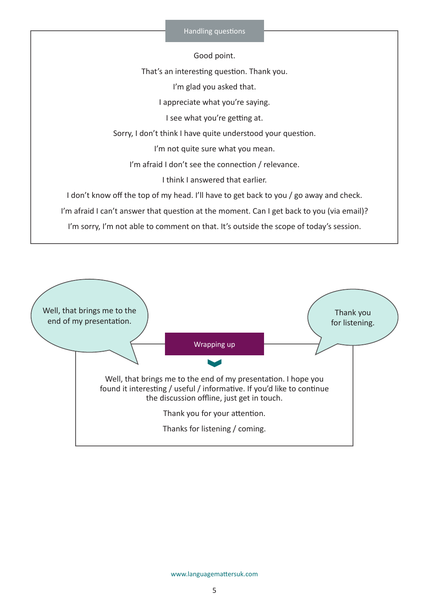#### Handling questions

Good point.

That's an interesting question. Thank you.

I'm glad you asked that.

I appreciate what you're saying.

I see what you're getting at.

Sorry, I don't think I have quite understood your question.

I'm not quite sure what you mean.

I'm afraid I don't see the connection / relevance.

I think I answered that earlier.

I don't know off the top of my head. I'll have to get back to you / go away and check.

I'm afraid I can't answer that question at the moment. Can I get back to you (via email)?

I'm sorry, I'm not able to comment on that. It's outside the scope of today's session.

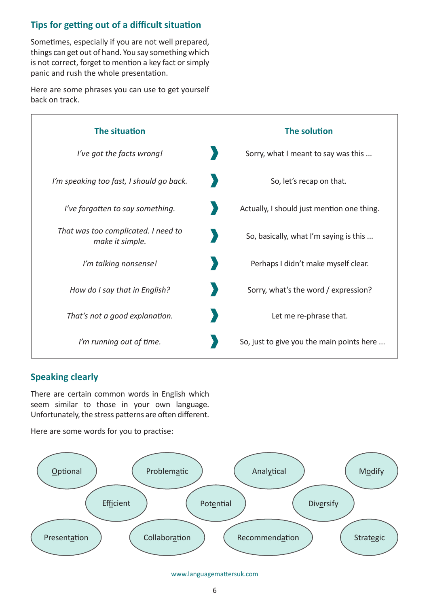## **Tips for getting out of a difficult situation**

Sometimes, especially if you are not well prepared, things can get out of hand. You say something which is not correct, forget to mention a key fact or simply panic and rush the whole presentation.

Here are some phrases you can use to get yourself back on track.



## **Speaking clearly**

There are certain common words in English which seem similar to those in your own language. Unfortunately, the stress patterns are often different.

Here are some words for you to practise: